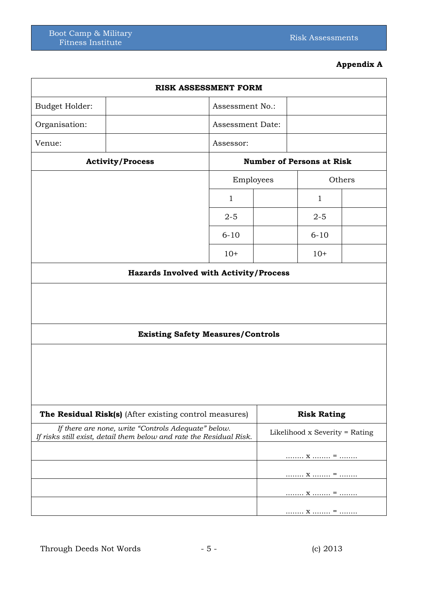## **Appendix A**

| <b>RISK ASSESSMENT FORM</b>                                                                                                |                                               |                                  |              |  |  |  |
|----------------------------------------------------------------------------------------------------------------------------|-----------------------------------------------|----------------------------------|--------------|--|--|--|
| Budget Holder:                                                                                                             | Assessment No.:                               |                                  |              |  |  |  |
| Organisation:                                                                                                              |                                               | Assessment Date:                 |              |  |  |  |
| Venue:                                                                                                                     | Assessor:                                     |                                  |              |  |  |  |
| <b>Activity/Process</b>                                                                                                    |                                               | <b>Number of Persons at Risk</b> |              |  |  |  |
|                                                                                                                            |                                               | Employees<br>Others              |              |  |  |  |
|                                                                                                                            | $\mathbf{1}$                                  |                                  | $\mathbf{1}$ |  |  |  |
|                                                                                                                            | $2 - 5$                                       |                                  | $2 - 5$      |  |  |  |
|                                                                                                                            | $6 - 10$                                      |                                  | $6 - 10$     |  |  |  |
|                                                                                                                            | $10+$                                         |                                  | $10+$        |  |  |  |
|                                                                                                                            | <b>Hazards Involved with Activity/Process</b> |                                  |              |  |  |  |
| <b>Existing Safety Measures/Controls</b>                                                                                   |                                               |                                  |              |  |  |  |
|                                                                                                                            |                                               |                                  |              |  |  |  |
| The Residual Risk(s) (After existing control measures)                                                                     |                                               | <b>Risk Rating</b>               |              |  |  |  |
| If there are none, write "Controls Adequate" below.<br>If risks still exist, detail them below and rate the Residual Risk. |                                               | Likelihood x Severity = Rating   |              |  |  |  |
|                                                                                                                            |                                               |                                  | $X$ =        |  |  |  |
|                                                                                                                            |                                               |                                  | $X$ =        |  |  |  |
|                                                                                                                            |                                               |                                  | $X$ =        |  |  |  |
|                                                                                                                            |                                               |                                  | $X$ =        |  |  |  |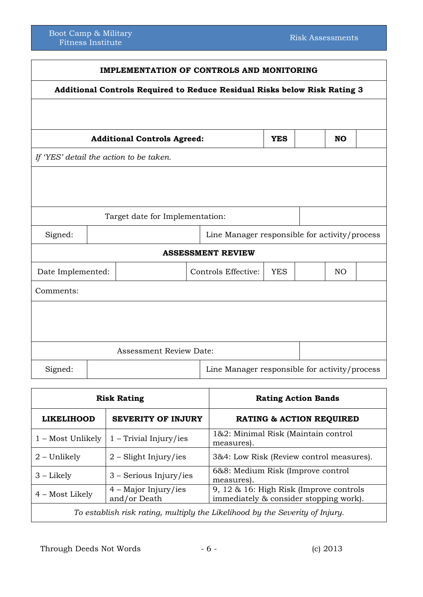| <b>IMPLEMENTATION OF CONTROLS AND MONITORING</b>                          |                                         |                                               |  |                                               |           |  |     |  |
|---------------------------------------------------------------------------|-----------------------------------------|-----------------------------------------------|--|-----------------------------------------------|-----------|--|-----|--|
| Additional Controls Required to Reduce Residual Risks below Risk Rating 3 |                                         |                                               |  |                                               |           |  |     |  |
|                                                                           |                                         |                                               |  |                                               |           |  |     |  |
| <b>Additional Controls Agreed:</b><br><b>YES</b>                          |                                         |                                               |  |                                               | <b>NO</b> |  |     |  |
|                                                                           | If 'YES' detail the action to be taken. |                                               |  |                                               |           |  |     |  |
|                                                                           |                                         |                                               |  |                                               |           |  |     |  |
|                                                                           |                                         |                                               |  |                                               |           |  |     |  |
| Target date for Implementation:                                           |                                         |                                               |  |                                               |           |  |     |  |
| Signed:                                                                   |                                         | Line Manager responsible for activity/process |  |                                               |           |  |     |  |
| <b>ASSESSMENT REVIEW</b>                                                  |                                         |                                               |  |                                               |           |  |     |  |
| Date Implemented:                                                         |                                         |                                               |  | Controls Effective:<br><b>YES</b>             |           |  | NO. |  |
| Comments:                                                                 |                                         |                                               |  |                                               |           |  |     |  |
|                                                                           |                                         |                                               |  |                                               |           |  |     |  |
|                                                                           |                                         |                                               |  |                                               |           |  |     |  |
|                                                                           |                                         |                                               |  |                                               |           |  |     |  |
|                                                                           |                                         | <b>Assessment Review Date:</b>                |  |                                               |           |  |     |  |
| Signed:                                                                   |                                         |                                               |  | Line Manager responsible for activity/process |           |  |     |  |

| <b>Risk Rating</b>                                                           |                                        | <b>Rating Action Bands</b>                                                        |  |  |
|------------------------------------------------------------------------------|----------------------------------------|-----------------------------------------------------------------------------------|--|--|
| <b>LIKELIHOOD</b>                                                            | <b>SEVERITY OF INJURY</b>              | <b>RATING &amp; ACTION REQUIRED</b>                                               |  |  |
| 1 – Most Unlikely                                                            | $1 - Trivial Injury/ies$               | 1&2: Minimal Risk (Maintain control<br>measures).                                 |  |  |
| $2$ – Unlikely                                                               | $2$ – Slight Injury/ies                | 3&4: Low Risk (Review control measures).                                          |  |  |
| $3 -$ Likely                                                                 | $3 -$ Serious Injury/ies               | 6&8: Medium Risk (Improve control<br>measures).                                   |  |  |
| 4 – Most Likely                                                              | $4 -$ Major Injury/ies<br>and/or Death | 9, 12 & 16: High Risk (Improve controls<br>immediately & consider stopping work). |  |  |
| To establish risk rating, multiply the Likelihood by the Severity of Injury. |                                        |                                                                                   |  |  |